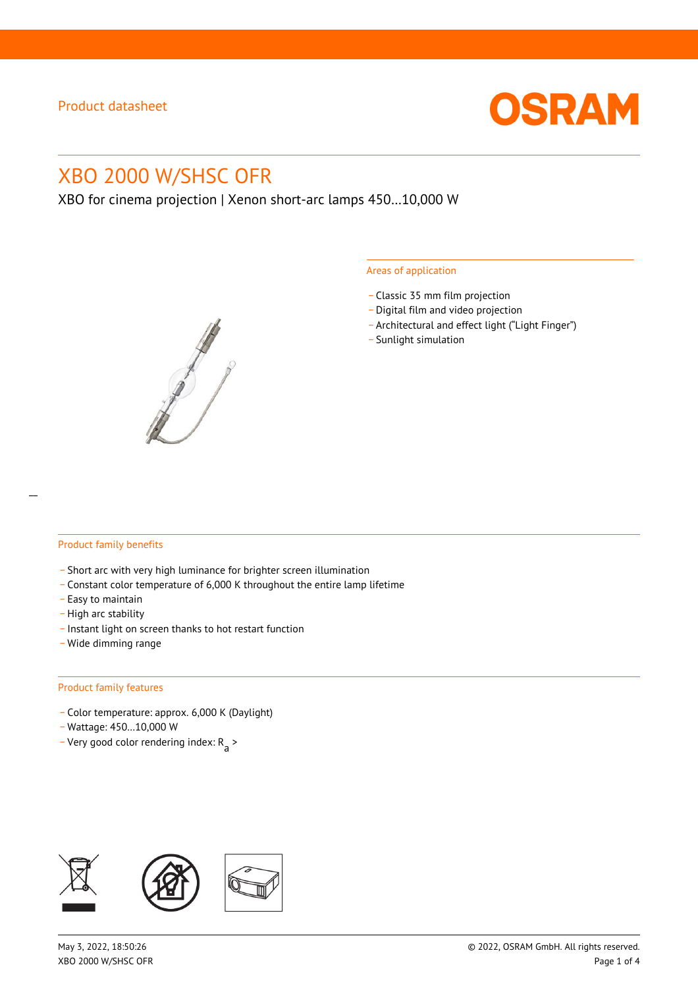

# XBO 2000 W/SHSC OFR

XBO for cinema projection | Xenon short-arc lamps 450…10,000 W



#### Areas of application

- \_ Classic 35 mm film projection
- \_ Digital film and video projection
- \_ Architectural and effect light ("Light Finger")
- Sunlight simulation

#### Product family benefits

- \_ Short arc with very high luminance for brighter screen illumination
- \_ Constant color temperature of 6,000 K throughout the entire lamp lifetime
- \_ Easy to maintain
- High arc stability
- \_ Instant light on screen thanks to hot restart function
- \_ Wide dimming range

#### Product family features

- \_ Color temperature: approx. 6,000 K (Daylight)
- \_ Wattage: 450…10,000 W
- Very good color rendering index:  $R_{\text{a}}$  >

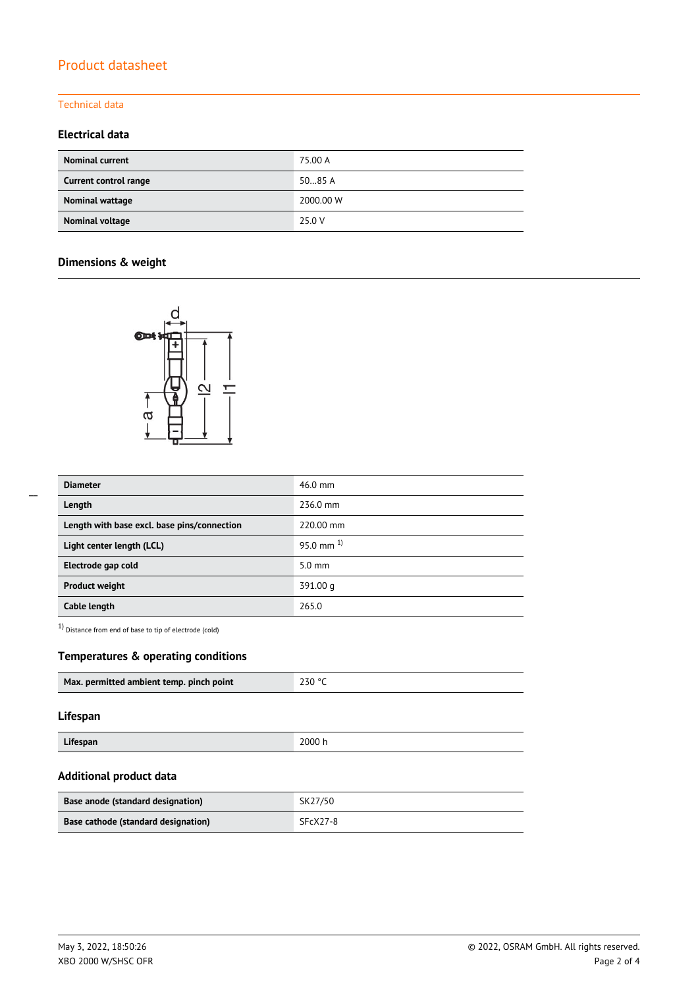# Product datasheet

#### Technical data

# **Electrical data**

| <b>Nominal current</b> | 75.00 A   |
|------------------------|-----------|
| Current control range  | 5085A     |
| Nominal wattage        | 2000.00 W |
| Nominal voltage        | 25.0 V    |

# **Dimensions & weight**



| <b>Diameter</b>                             | 46.0 mm          |  |  |
|---------------------------------------------|------------------|--|--|
| Length                                      | 236.0 mm         |  |  |
| Length with base excl. base pins/connection | 220.00 mm        |  |  |
| Light center length (LCL)                   | 95.0 mm $^{1}$   |  |  |
| Electrode gap cold                          | $5.0 \text{ mm}$ |  |  |
| <b>Product weight</b>                       | 391.00 g         |  |  |
| Cable length                                | 265.0            |  |  |

1) Distance from end of base to tip of electrode (cold)

### **Temperatures & operating conditions**

| Max. permitted ambient temp. pinch point | 230 °C |
|------------------------------------------|--------|
|                                          |        |

### **Lifespan**

**Lifespan** 2000 h

#### **Additional product data**

| Base anode (standard designation)   | SK27/50  |
|-------------------------------------|----------|
| Base cathode (standard designation) | SFcX27-8 |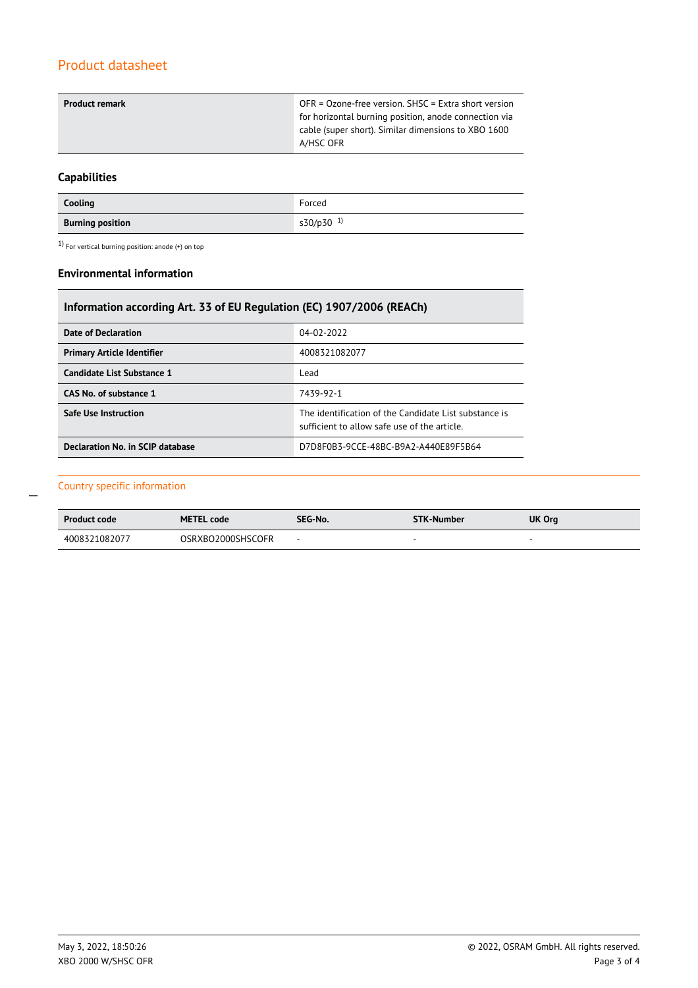# Product datasheet

| <b>Product remark</b> | OFR = Ozone-free version. SHSC = Extra short version  |
|-----------------------|-------------------------------------------------------|
|                       | for horizontal burning position, anode connection via |
|                       | cable (super short). Similar dimensions to XBO 1600   |
|                       | A/HSC OFR                                             |
|                       |                                                       |

# **Capabilities**

| Cooling                 | Forced                |
|-------------------------|-----------------------|
| <b>Burning position</b> | s30/p30 <sup>1)</sup> |

 $1)$  For vertical burning position: anode (+) on top

#### **Environmental information**

# **Information according Art. 33 of EU Regulation (EC) 1907/2006 (REACh)**

| Date of Declaration               | 04-02-2022                                                                                            |  |  |
|-----------------------------------|-------------------------------------------------------------------------------------------------------|--|--|
| <b>Primary Article Identifier</b> | 4008321082077                                                                                         |  |  |
| Candidate List Substance 1        | Lead                                                                                                  |  |  |
| CAS No. of substance 1            | 7439-92-1                                                                                             |  |  |
| <b>Safe Use Instruction</b>       | The identification of the Candidate List substance is<br>sufficient to allow safe use of the article. |  |  |
| Declaration No. in SCIP database  | D7D8F0B3-9CCE-48BC-B9A2-A440E89F5B64                                                                  |  |  |

### Country specific information

 $\overline{a}$ 

| <b>Product code</b> | <b>METEL code</b> | SEG-No.                  | <b>STK-Number</b>        | UK Org                   |
|---------------------|-------------------|--------------------------|--------------------------|--------------------------|
| 4008321082077       | OSRXBO2000SHSCOFR | $\overline{\phantom{a}}$ | $\overline{\phantom{a}}$ | $\overline{\phantom{a}}$ |